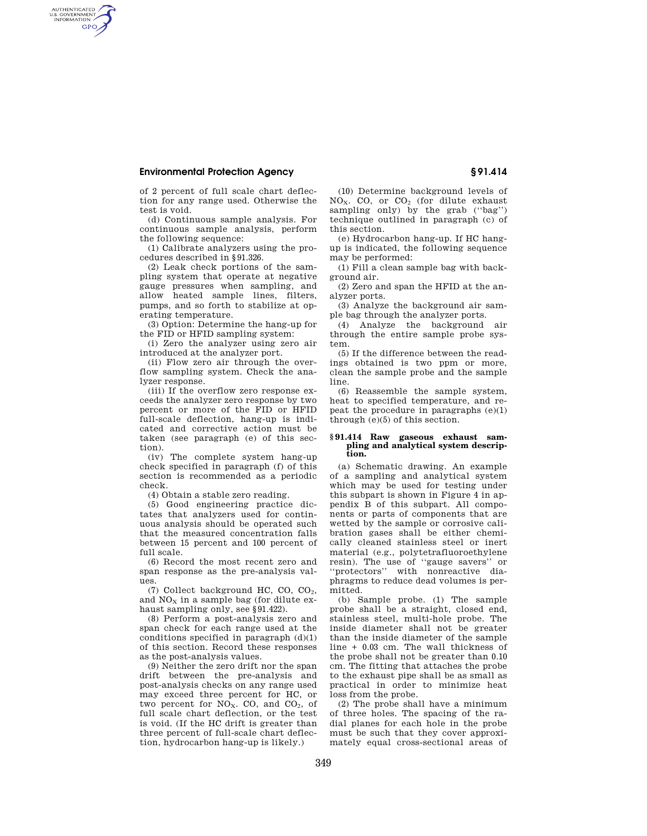## **Environmental Protection Agency § 91.414**

AUTHENTICATED<br>U.S. GOVERNMENT<br>INFORMATION **GPO** 

> of 2 percent of full scale chart deflection for any range used. Otherwise the test is void.

> (d) Continuous sample analysis. For continuous sample analysis, perform the following sequence:

> (1) Calibrate analyzers using the procedures described in §91.326.

> (2) Leak check portions of the sampling system that operate at negative gauge pressures when sampling, and allow heated sample lines, filters, pumps, and so forth to stabilize at operating temperature.

> (3) Option: Determine the hang-up for the FID or HFID sampling system:

> (i) Zero the analyzer using zero air introduced at the analyzer port.

> (ii) Flow zero air through the overflow sampling system. Check the analyzer response.

> (iii) If the overflow zero response exceeds the analyzer zero response by two percent or more of the FID or HFID full-scale deflection, hang-up is indicated and corrective action must be taken (see paragraph (e) of this section).

> (iv) The complete system hang-up check specified in paragraph (f) of this section is recommended as a periodic check.

(4) Obtain a stable zero reading.

(5) Good engineering practice dictates that analyzers used for continuous analysis should be operated such that the measured concentration falls between 15 percent and 100 percent of full scale.

(6) Record the most recent zero and span response as the pre-analysis values.

(7) Collect background HC, CO, CO2, and  $NO<sub>x</sub>$  in a sample bag (for dilute exhaust sampling only, see §91.422).

(8) Perform a post-analysis zero and span check for each range used at the conditions specified in paragraph  $(d)(1)$ of this section. Record these responses as the post-analysis values.

(9) Neither the zero drift nor the span drift between the pre-analysis and post-analysis checks on any range used may exceed three percent for HC, or two percent for  $NO<sub>x</sub>$ . CO, and  $CO<sub>2</sub>$ , of full scale chart deflection, or the test is void. (If the HC drift is greater than three percent of full-scale chart deflection, hydrocarbon hang-up is likely.)

(10) Determine background levels of  $NO<sub>x</sub>$ . CO, or  $CO<sub>2</sub>$  (for dilute exhaust sampling only) by the grab (''bag'') technique outlined in paragraph (c) of this section.

(e) Hydrocarbon hang-up. If HC hangup is indicated, the following sequence may be performed:

(1) Fill a clean sample bag with background air.

(2) Zero and span the HFID at the analyzer ports.

(3) Analyze the background air sample bag through the analyzer ports.

(4) Analyze the background air through the entire sample probe system.

(5) If the difference between the readings obtained is two ppm or more, clean the sample probe and the sample line.

(6) Reassemble the sample system, heat to specified temperature, and repeat the procedure in paragraphs  $(e)(1)$ through (e)(5) of this section.

## **§ 91.414 Raw gaseous exhaust sampling and analytical system description.**

(a) Schematic drawing. An example of a sampling and analytical system which may be used for testing under this subpart is shown in Figure 4 in appendix B of this subpart. All components or parts of components that are wetted by the sample or corrosive calibration gases shall be either chemically cleaned stainless steel or inert material (e.g., polytetrafluoroethylene resin). The use of ''gauge savers'' or ''protectors'' with nonreactive diaphragms to reduce dead volumes is permitted.

(b) Sample probe. (1) The sample probe shall be a straight, closed end, stainless steel, multi-hole probe. The inside diameter shall not be greater than the inside diameter of the sample line + 0.03 cm. The wall thickness of the probe shall not be greater than 0.10 cm. The fitting that attaches the probe to the exhaust pipe shall be as small as practical in order to minimize heat loss from the probe.

(2) The probe shall have a minimum of three holes. The spacing of the radial planes for each hole in the probe must be such that they cover approximately equal cross-sectional areas of